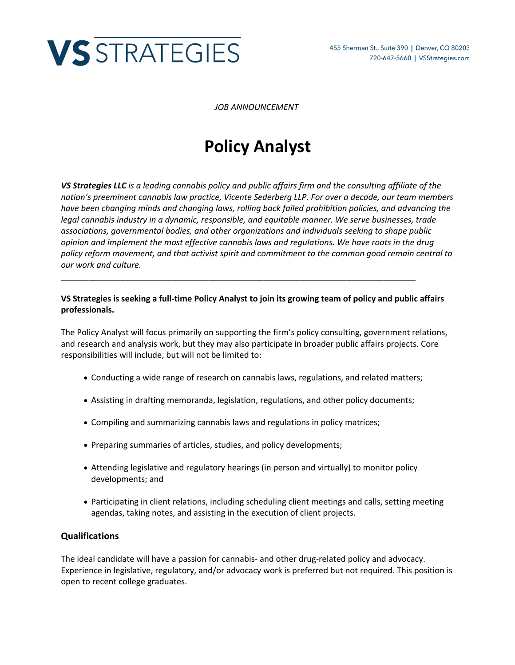

*JOB ANNOUNCEMENT*

# **Policy Analyst**

*VS Strategies LLC is a leading cannabis policy and public affairs firm and the consulting affiliate of the nation's preeminent cannabis law practice, Vicente Sederberg LLP. For over a decade, our team members have been changing minds and changing laws, rolling back failed prohibition policies, and advancing the legal cannabis industry in a dynamic, responsible, and equitable manner. We serve businesses, trade associations, governmental bodies, and other organizations and individuals seeking to shape public opinion and implement the most effective cannabis laws and regulations. We have roots in the drug policy reform movement, and that activist spirit and commitment to the common good remain central to our work and culture.*

### **VS Strategies is seeking a full-time Policy Analyst to join its growing team of policy and public affairs professionals.**

\_\_\_\_\_\_\_\_\_\_\_\_\_\_\_\_\_\_\_\_\_\_\_\_\_\_\_\_\_\_\_\_\_\_\_\_\_\_\_\_\_\_\_\_\_\_\_\_\_\_\_\_\_\_\_\_\_\_\_\_\_\_\_\_\_\_\_\_\_\_\_\_\_\_\_\_\_

The Policy Analyst will focus primarily on supporting the firm's policy consulting, government relations, and research and analysis work, but they may also participate in broader public affairs projects. Core responsibilities will include, but will not be limited to:

- Conducting a wide range of research on cannabis laws, regulations, and related matters;
- Assisting in drafting memoranda, legislation, regulations, and other policy documents;
- Compiling and summarizing cannabis laws and regulations in policy matrices;
- Preparing summaries of articles, studies, and policy developments;
- Attending legislative and regulatory hearings (in person and virtually) to monitor policy developments; and
- Participating in client relations, including scheduling client meetings and calls, setting meeting agendas, taking notes, and assisting in the execution of client projects.

## **Qualifications**

The ideal candidate will have a passion for cannabis- and other drug-related policy and advocacy. Experience in legislative, regulatory, and/or advocacy work is preferred but not required. This position is open to recent college graduates.